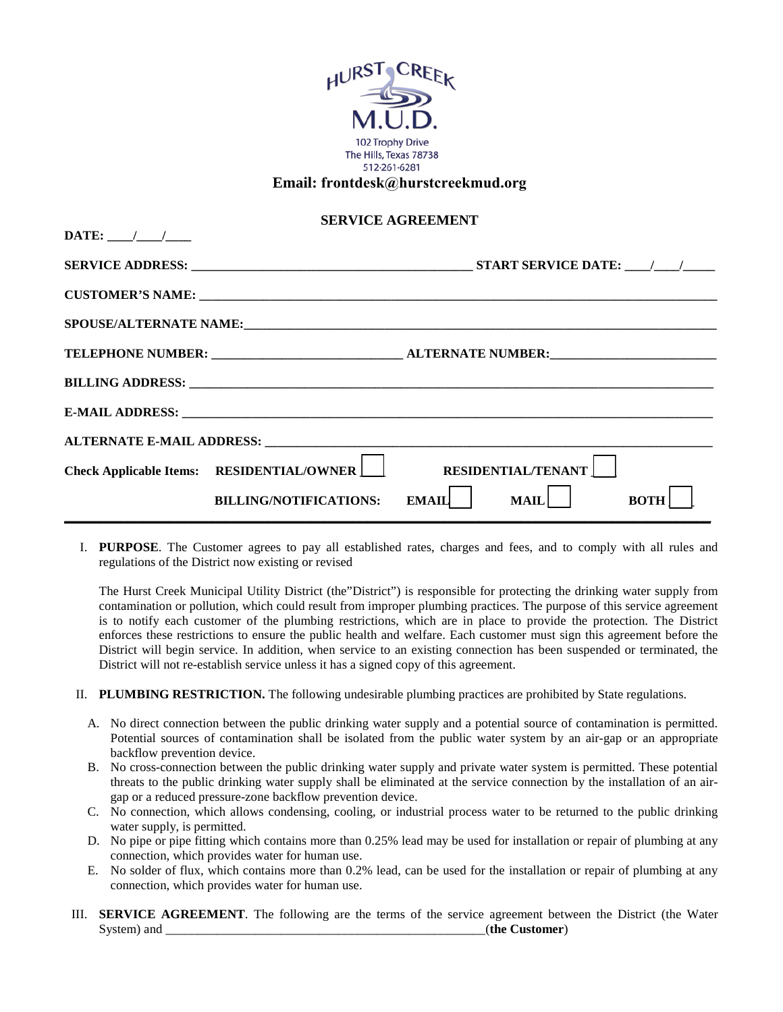

I. **PURPOSE**. The Customer agrees to pay all established rates, charges and fees, and to comply with all rules and regulations of the District now existing or revised

The Hurst Creek Municipal Utility District (the"District") is responsible for protecting the drinking water supply from contamination or pollution, which could result from improper plumbing practices. The purpose of this service agreement is to notify each customer of the plumbing restrictions, which are in place to provide the protection. The District enforces these restrictions to ensure the public health and welfare. Each customer must sign this agreement before the District will begin service. In addition, when service to an existing connection has been suspended or terminated, the District will not re-establish service unless it has a signed copy of this agreement.

- II. **PLUMBING RESTRICTION.** The following undesirable plumbing practices are prohibited by State regulations.
	- A. No direct connection between the public drinking water supply and a potential source of contamination is permitted. Potential sources of contamination shall be isolated from the public water system by an air-gap or an appropriate backflow prevention device.
	- B. No cross-connection between the public drinking water supply and private water system is permitted. These potential threats to the public drinking water supply shall be eliminated at the service connection by the installation of an airgap or a reduced pressure-zone backflow prevention device.
	- C. No connection, which allows condensing, cooling, or industrial process water to be returned to the public drinking water supply, is permitted.
	- D. No pipe or pipe fitting which contains more than 0.25% lead may be used for installation or repair of plumbing at any connection, which provides water for human use.
	- E. No solder of flux, which contains more than 0.2% lead, can be used for the installation or repair of plumbing at any connection, which provides water for human use.
- III. **SERVICE AGREEMENT**. The following are the terms of the service agreement between the District (the Water System) and \_\_\_\_\_\_\_\_\_\_\_\_\_\_\_\_\_\_\_\_\_\_\_\_\_\_\_\_\_\_\_\_\_\_\_\_\_\_\_\_\_\_\_\_\_\_\_\_\_\_(**the Customer**)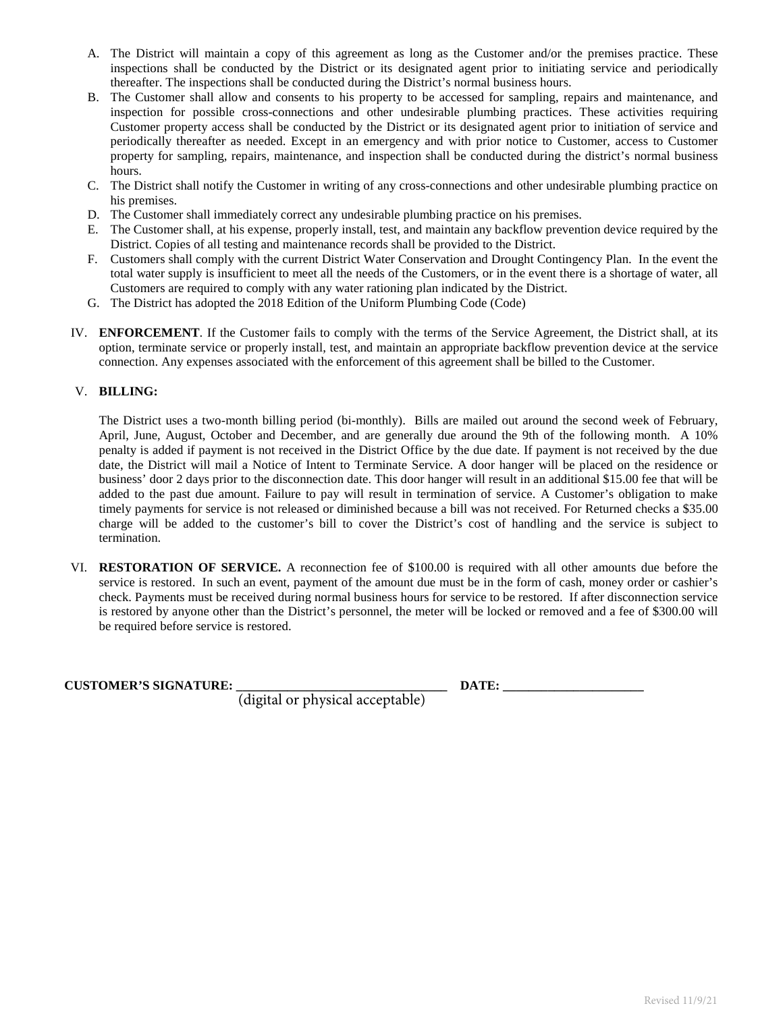- A. The District will maintain a copy of this agreement as long as the Customer and/or the premises practice. These inspections shall be conducted by the District or its designated agent prior to initiating service and periodically thereafter. The inspections shall be conducted during the District's normal business hours.
- B. The Customer shall allow and consents to his property to be accessed for sampling, repairs and maintenance, and inspection for possible cross-connections and other undesirable plumbing practices. These activities requiring Customer property access shall be conducted by the District or its designated agent prior to initiation of service and periodically thereafter as needed. Except in an emergency and with prior notice to Customer, access to Customer property for sampling, repairs, maintenance, and inspection shall be conducted during the district's normal business hours.
- C. The District shall notify the Customer in writing of any cross-connections and other undesirable plumbing practice on his premises.
- D. The Customer shall immediately correct any undesirable plumbing practice on his premises.
- E. The Customer shall, at his expense, properly install, test, and maintain any backflow prevention device required by the District. Copies of all testing and maintenance records shall be provided to the District.
- F. Customers shall comply with the current District Water Conservation and Drought Contingency Plan. In the event the total water supply is insufficient to meet all the needs of the Customers, or in the event there is a shortage of water, all Customers are required to comply with any water rationing plan indicated by the District.
- G. The District has adopted the 2018 Edition of the Uniform Plumbing Code (Code)
- IV. **ENFORCEMENT**. If the Customer fails to comply with the terms of the Service Agreement, the District shall, at its option, terminate service or properly install, test, and maintain an appropriate backflow prevention device at the service connection. Any expenses associated with the enforcement of this agreement shall be billed to the Customer.

## V. **BILLING:**

The District uses a two-month billing period (bi-monthly). Bills are mailed out around the second week of February, April, June, August, October and December, and are generally due around the 9th of the following month. A 10% penalty is added if payment is not received in the District Office by the due date. If payment is not received by the due date, the District will mail a Notice of Intent to Terminate Service. A door hanger will be placed on the residence or business' door 2 days prior to the disconnection date. This door hanger will result in an additional \$15.00 fee that will be added to the past due amount. Failure to pay will result in termination of service. A Customer's obligation to make timely payments for service is not released or diminished because a bill was not received. For Returned checks a \$35.00 charge will be added to the customer's bill to cover the District's cost of handling and the service is subject to termination.

VI. **RESTORATION OF SERVICE.** A reconnection fee of \$100.00 is required with all other amounts due before the service is restored. In such an event, payment of the amount due must be in the form of cash, money order or cashier's check. Payments must be received during normal business hours for service to be restored. If after disconnection service is restored by anyone other than the District's personnel, the meter will be locked or removed and a fee of \$300.00 will be required before service is restored.

## **CUSTOMER'S SIGNATURE: \_\_\_\_\_\_\_\_\_\_\_\_\_\_\_\_\_\_\_\_\_\_\_\_\_\_\_\_\_\_\_\_\_ DATE: \_\_\_\_\_\_\_\_\_\_\_\_\_\_\_\_\_\_\_\_\_\_**

(digital or physical acceptable)